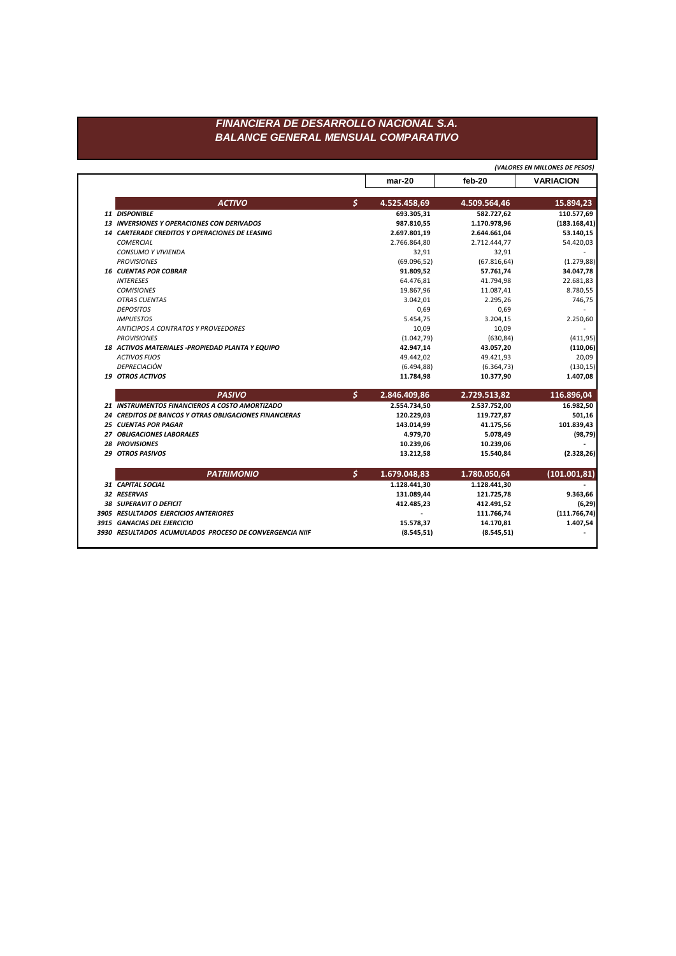## FINANCIERA DE DESARROLLO NACIONAL S.A. **BALANCE GENERAL MENSUAL COMPARATIVO**

|                                                         |                    |              | (VALORES EN MILLONES DE PESOS) |  |
|---------------------------------------------------------|--------------------|--------------|--------------------------------|--|
|                                                         | $mar-20$           | feb-20       | <b>VARIACION</b>               |  |
| <b>ACTIVO</b>                                           | \$<br>4.525.458,69 | 4.509.564,46 | 15.894,23                      |  |
| 11 DISPONIBLE                                           | 693.305.31         | 582.727,62   | 110.577,69                     |  |
| <b>13 INVERSIONES Y OPERACIONES CON DERIVADOS</b>       | 987.810,55         | 1.170.978,96 | (183.168, 41)                  |  |
| <b>14 CARTERADE CREDITOS Y OPERACIONES DE LEASING</b>   | 2.697.801,19       | 2.644.661,04 | 53.140,15                      |  |
| <b>COMERCIAL</b>                                        | 2.766.864,80       | 2.712.444,77 | 54.420,03                      |  |
| <b>CONSUMO Y VIVIENDA</b>                               | 32,91              | 32,91        |                                |  |
| <b>PROVISIONES</b>                                      | (69.096, 52)       | (67.816, 64) | (1.279, 88)                    |  |
| <b>16 CUENTAS POR COBRAR</b>                            | 91.809,52          | 57.761,74    | 34.047,78                      |  |
| <b>INTERESES</b>                                        | 64.476,81          | 41.794,98    | 22.681,83                      |  |
| <b>COMISIONES</b>                                       | 19.867,96          | 11.087,41    | 8.780,55                       |  |
| <b>OTRAS CUENTAS</b>                                    | 3.042,01           | 2.295,26     | 746,75                         |  |
| <b>DEPOSITOS</b>                                        | 0,69               | 0,69         |                                |  |
| <b>IMPUESTOS</b>                                        | 5.454,75           | 3.204,15     | 2.250,60                       |  |
| ANTICIPOS A CONTRATOS Y PROVEEDORES                     | 10,09              | 10,09        |                                |  |
| <b>PROVISIONES</b>                                      | (1.042, 79)        | (630, 84)    | (411, 95)                      |  |
| 18 ACTIVOS MATERIALES -PROPIEDAD PLANTA Y EQUIPO        | 42.947,14          | 43.057,20    | (110,06)                       |  |
| <b>ACTIVOS FIJOS</b>                                    | 49.442,02          | 49.421,93    | 20,09                          |  |
| DEPRECIACIÓN                                            | (6.494, 88)        | (6.364, 73)  | (130, 15)                      |  |
| 19 OTROS ACTIVOS                                        | 11.784,98          | 10.377,90    | 1.407,08                       |  |
| <b>PASIVO</b>                                           | \$<br>2.846.409,86 | 2.729.513,82 | 116.896,04                     |  |
| 21 INSTRUMENTOS FINANCIEROS A COSTO AMORTIZADO          | 2.554.734,50       | 2.537.752,00 | 16.982,50                      |  |
| 24 CREDITOS DE BANCOS Y OTRAS OBLIGACIONES FINANCIERAS  | 120.229,03         | 119.727,87   | 501,16                         |  |
| <b>25 CUENTAS POR PAGAR</b>                             | 143.014,99         | 41.175,56    | 101.839,43                     |  |
| <b>27 OBLIGACIONES LABORALES</b>                        | 4.979,70           | 5.078,49     | (98, 79)                       |  |
| <b>28 PROVISIONES</b>                                   | 10.239,06          | 10.239,06    |                                |  |
| <b>29 OTROS PASIVOS</b>                                 | 13.212,58          | 15.540,84    | (2.328, 26)                    |  |
| <b>PATRIMONIO</b>                                       | \$<br>1.679.048,83 | 1.780.050,64 | (101.001.81)                   |  |
| 31 CAPITAL SOCIAL                                       | 1.128.441,30       | 1.128.441,30 |                                |  |
| 32 RESERVAS                                             | 131.089,44         | 121.725,78   | 9.363,66                       |  |
| 38 SUPERAVIT O DEFICIT                                  | 412.485,23         | 412.491,52   | (6, 29)                        |  |
| 3905 RESULTADOS EJERCICIOS ANTERIORES                   |                    | 111.766,74   | (111.766, 74)                  |  |
| 3915 GANACIAS DEL EJERCICIO                             | 15.578,37          | 14.170,81    | 1.407,54                       |  |
| 3930 RESULTADOS ACUMULADOS PROCESO DE CONVERGENCIA NIIF | (8.545, 51)        | (8.545, 51)  |                                |  |